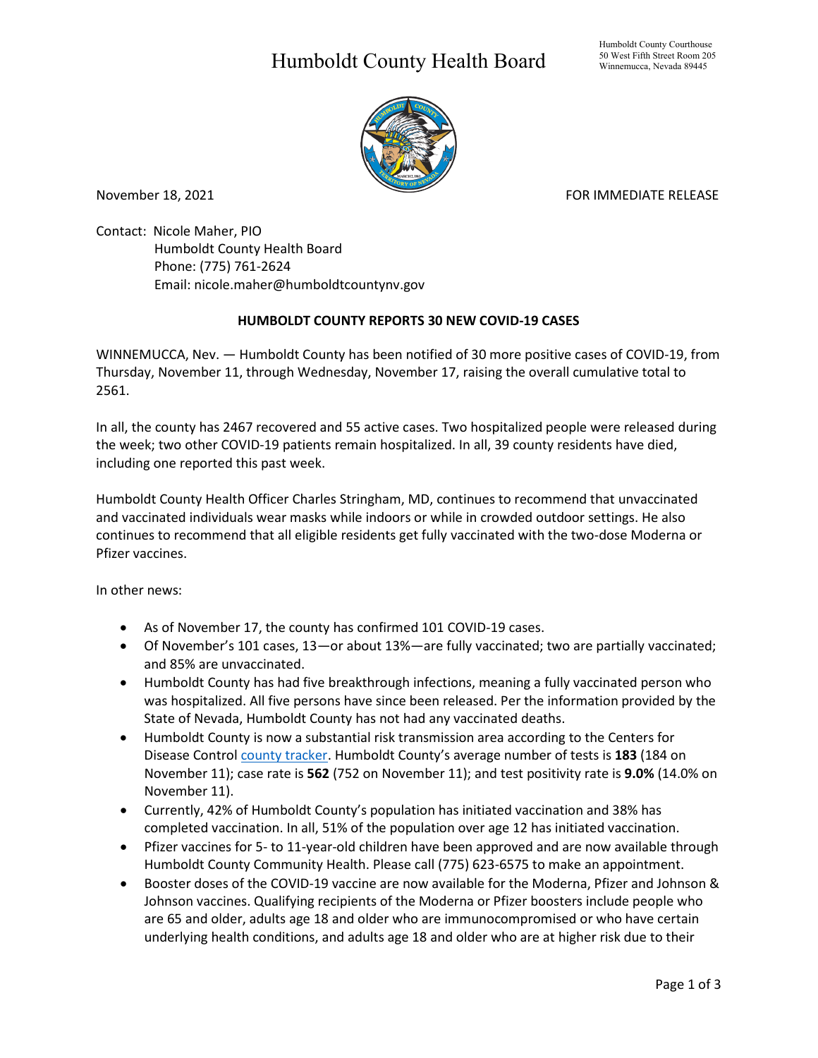## Humboldt County Health Board



November 18, 2021 **FOR IMMEDIATE RELEASE** 

Contact: Nicole Maher, PIO Humboldt County Health Board Phone: (775) 761-2624 Email: nicole.maher@humboldtcountynv.gov

## **HUMBOLDT COUNTY REPORTS 30 NEW COVID-19 CASES**

WINNEMUCCA, Nev. — Humboldt County has been notified of 30 more positive cases of COVID-19, from Thursday, November 11, through Wednesday, November 17, raising the overall cumulative total to 2561.

In all, the county has 2467 recovered and 55 active cases. Two hospitalized people were released during the week; two other COVID-19 patients remain hospitalized. In all, 39 county residents have died, including one reported this past week.

Humboldt County Health Officer Charles Stringham, MD, continues to recommend that unvaccinated and vaccinated individuals wear masks while indoors or while in crowded outdoor settings. He also continues to recommend that all eligible residents get fully vaccinated with the two-dose Moderna or Pfizer vaccines.

In other news:

- As of November 17, the county has confirmed 101 COVID-19 cases.
- Of November's 101 cases, 13—or about 13%—are fully vaccinated; two are partially vaccinated; and 85% are unvaccinated.
- Humboldt County has had five breakthrough infections, meaning a fully vaccinated person who was hospitalized. All five persons have since been released. Per the information provided by the State of Nevada, Humboldt County has not had any vaccinated deaths.
- Humboldt County is now a substantial risk transmission area according to the Centers for Disease Control [county tracker.](https://covid.cdc.gov/covid-data-tracker/#county-view) Humboldt County's average number of tests is **183** (184 on November 11); case rate is **562** (752 on November 11); and test positivity rate is **9.0%** (14.0% on November 11).
- Currently, 42% of Humboldt County's population has initiated vaccination and 38% has completed vaccination. In all, 51% of the population over age 12 has initiated vaccination.
- Pfizer vaccines for 5- to 11-year-old children have been approved and are now available through Humboldt County Community Health. Please call (775) 623-6575 to make an appointment.
- Booster doses of the COVID-19 vaccine are now available for the Moderna, Pfizer and Johnson & Johnson vaccines. Qualifying recipients of the Moderna or Pfizer boosters include people who are 65 and older, adults age 18 and older who are immunocompromised or who have certain underlying health conditions, and adults age 18 and older who are at higher risk due to their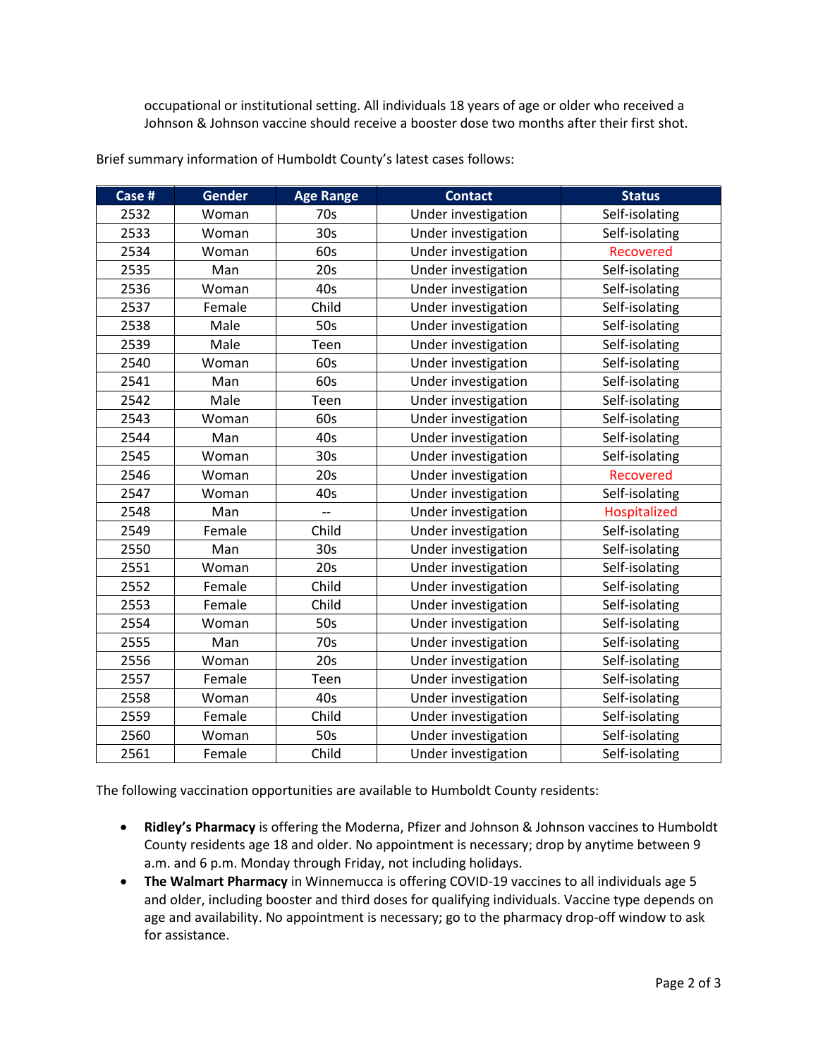occupational or institutional setting. All individuals 18 years of age or older who received a Johnson & Johnson vaccine should receive a booster dose two months after their first shot.

| Case # | <b>Gender</b> | <b>Age Range</b>         | <b>Contact</b>      | <b>Status</b>  |
|--------|---------------|--------------------------|---------------------|----------------|
| 2532   | Woman         | 70s                      | Under investigation | Self-isolating |
| 2533   | Woman         | 30 <sub>s</sub>          | Under investigation | Self-isolating |
| 2534   | Woman         | 60s                      | Under investigation | Recovered      |
| 2535   | Man           | 20s                      | Under investigation | Self-isolating |
| 2536   | Woman         | 40s                      | Under investigation | Self-isolating |
| 2537   | Female        | Child                    | Under investigation | Self-isolating |
| 2538   | Male          | 50s                      | Under investigation | Self-isolating |
| 2539   | Male          | Teen                     | Under investigation | Self-isolating |
| 2540   | Woman         | 60s                      | Under investigation | Self-isolating |
| 2541   | Man           | 60s                      | Under investigation | Self-isolating |
| 2542   | Male          | Teen                     | Under investigation | Self-isolating |
| 2543   | Woman         | 60s                      | Under investigation | Self-isolating |
| 2544   | Man           | 40s                      | Under investigation | Self-isolating |
| 2545   | Woman         | 30 <sub>s</sub>          | Under investigation | Self-isolating |
| 2546   | Woman         | 20s                      | Under investigation | Recovered      |
| 2547   | Woman         | 40s                      | Under investigation | Self-isolating |
| 2548   | Man           | $\overline{\phantom{a}}$ | Under investigation | Hospitalized   |
| 2549   | Female        | Child                    | Under investigation | Self-isolating |
| 2550   | Man           | 30 <sub>s</sub>          | Under investigation | Self-isolating |
| 2551   | Woman         | 20s                      | Under investigation | Self-isolating |
| 2552   | Female        | Child                    | Under investigation | Self-isolating |
| 2553   | Female        | Child                    | Under investigation | Self-isolating |
| 2554   | Woman         | 50s                      | Under investigation | Self-isolating |
| 2555   | Man           | 70s                      | Under investigation | Self-isolating |
| 2556   | Woman         | 20s                      | Under investigation | Self-isolating |
| 2557   | Female        | Teen                     | Under investigation | Self-isolating |
| 2558   | Woman         | 40s                      | Under investigation | Self-isolating |
| 2559   | Female        | Child                    | Under investigation | Self-isolating |
| 2560   | Woman         | 50s                      | Under investigation | Self-isolating |
| 2561   | Female        | Child                    | Under investigation | Self-isolating |

Brief summary information of Humboldt County's latest cases follows:

The following vaccination opportunities are available to Humboldt County residents:

- **Ridley's Pharmacy** is offering the Moderna, Pfizer and Johnson & Johnson vaccines to Humboldt County residents age 18 and older. No appointment is necessary; drop by anytime between 9 a.m. and 6 p.m. Monday through Friday, not including holidays.
- **The Walmart Pharmacy** in Winnemucca is offering COVID-19 vaccines to all individuals age 5 and older, including booster and third doses for qualifying individuals. Vaccine type depends on age and availability. No appointment is necessary; go to the pharmacy drop-off window to ask for assistance.